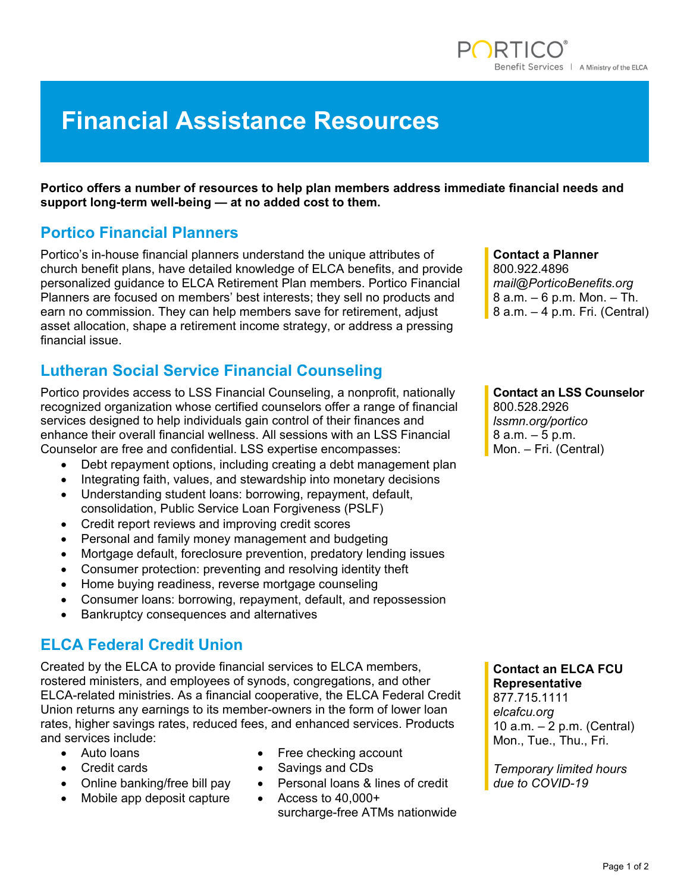# **Financial Assistance Resources**

**Portico offers a number of resources to help plan members address immediate financial needs and support long-term well-being — at no added cost to them.** 

### **Portico Financial Planners**

Portico's in-house financial planners understand the unique attributes of church benefit plans, have detailed knowledge of ELCA benefits, and provide personalized guidance to ELCA Retirement Plan members. Portico Financial Planners are focused on members' best interests; they sell no products and earn no commission. They can help members save for retirement, adjust asset allocation, shape a retirement income strategy, or address a pressing financial issue.

# **Lutheran Social Service Financial Counseling**

Portico provides access to LSS Financial Counseling, a nonprofit, nationally recognized organization whose certified counselors offer a range of financial services designed to help individuals gain control of their finances and enhance their overall financial wellness. All sessions with an LSS Financial Counselor are free and confidential. LSS expertise encompasses:

- Debt repayment options, including creating a debt management plan
- Integrating faith, values, and stewardship into monetary decisions
- Understanding student loans: borrowing, repayment, default, consolidation, Public Service Loan Forgiveness (PSLF)
- Credit report reviews and improving credit scores
- Personal and family money management and budgeting
- Mortgage default, foreclosure prevention, predatory lending issues
- Consumer protection: preventing and resolving identity theft
- Home buying readiness, reverse mortgage counseling
- Consumer loans: borrowing, repayment, default, and repossession
- Bankruptcy consequences and alternatives

### **ELCA Federal Credit Union**

Created by the ELCA to provide financial services to ELCA members, rostered ministers, and employees of synods, congregations, and other ELCA-related ministries. As a financial cooperative, the ELCA Federal Credit Union returns any earnings to its member-owners in the form of lower loan rates, higher savings rates, reduced fees, and enhanced services. Products and services include:

- 
- 
- 
- Mobile app deposit capture Access to 40,000+
- Auto loans **Figure 1** Free checking account
	- Credit cards **Savings and CDs Credit cards CDs**
- Online banking/free bill pay Personal loans & lines of credit
	- surcharge-free ATMs nationwide

#### **Contact a Planner**

800.922.4896 *mail@PorticoBenefits.org*  8 a.m. – 6 p.m. Mon. – Th. 8 a.m. – 4 p.m. Fri. (Central)

#### **Contact an LSS Counselor**

800.528.2926 *lssmn.org/portico*  8 a.m. – 5 p.m. Mon. – Fri. (Central)

#### **Contact an ELCA FCU Representative**

877.715.1111 *elcafcu.org*  10 a.m. – 2 p.m. (Central) Mon., Tue., Thu., Fri.

*Temporary limited hours due to COVID-19*